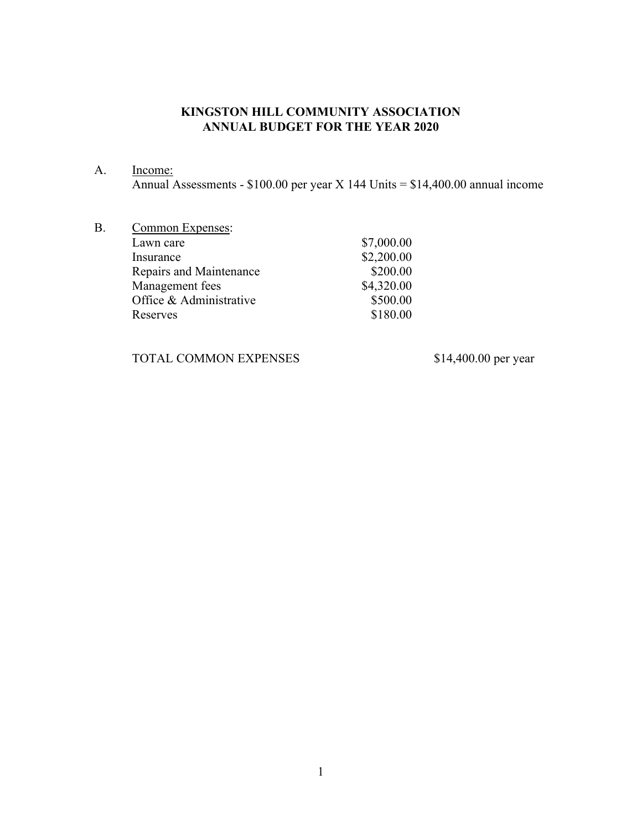## **KINGSTON HILL COMMUNITY ASSOCIATION ANNUAL BUDGET FOR THE YEAR 2020**

A. Income:

Annual Assessments - \$100.00 per year X 144 Units = \$14,400.00 annual income

| Lawn care<br>Insurance<br>Repairs and Maintenance<br>Management fees<br>Office & Administrative<br>Reserves | B. | Common Expenses: |            |
|-------------------------------------------------------------------------------------------------------------|----|------------------|------------|
|                                                                                                             |    |                  | \$7,000.00 |
|                                                                                                             |    |                  | \$2,200.00 |
|                                                                                                             |    |                  | \$200.00   |
|                                                                                                             |    |                  | \$4,320.00 |
|                                                                                                             |    |                  | \$500.00   |
|                                                                                                             |    |                  | \$180.00   |

TOTAL COMMON EXPENSES \$14,400.00 per year